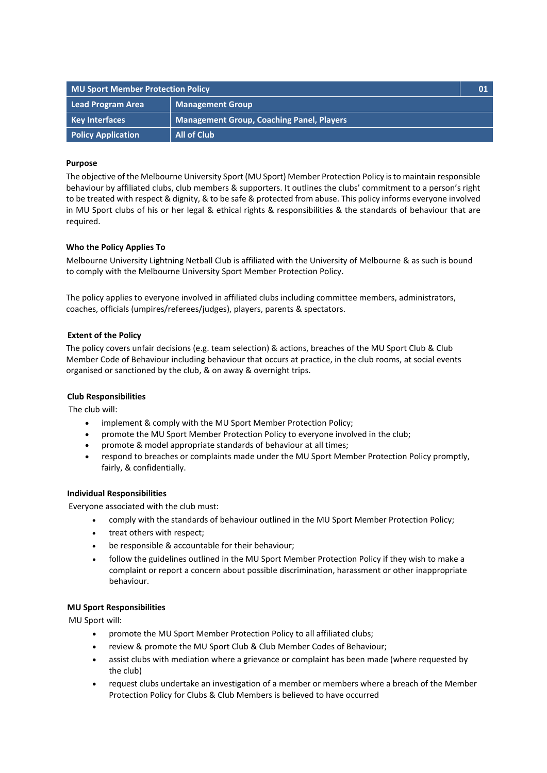| <b>MU Sport Member Protection Policy</b> |                                           | 01 |
|------------------------------------------|-------------------------------------------|----|
| Lead Program Area                        | <b>Management Group</b>                   |    |
| <b>Key Interfaces</b>                    | Management Group, Coaching Panel, Players |    |
| <b>Policy Application</b>                | All of Club                               |    |

## **Purpose**

The objective of the Melbourne University Sport (MU Sport) Member Protection Policy is to maintain responsible behaviour by affiliated clubs, club members & supporters. It outlines the clubs' commitment to a person's right to be treated with respect & dignity, & to be safe & protected from abuse. This policy informs everyone involved in MU Sport clubs of his or her legal & ethical rights & responsibilities & the standards of behaviour that are required.

## **Who the Policy Applies To**

Melbourne University Lightning Netball Club is affiliated with the University of Melbourne & as such is bound to comply with the Melbourne University Sport Member Protection Policy.

The policy applies to everyone involved in affiliated clubs including committee members, administrators, coaches, officials (umpires/referees/judges), players, parents & spectators.

# **Extent of the Policy**

The policy covers unfair decisions (e.g. team selection) & actions, breaches of the MU Sport Club & Club Member Code of Behaviour including behaviour that occurs at practice, in the club rooms, at social events organised or sanctioned by the club, & on away & overnight trips.

## **Club Responsibilities**

The club will:

- implement & comply with the MU Sport Member Protection Policy;
- promote the MU Sport Member Protection Policy to everyone involved in the club;
- promote & model appropriate standards of behaviour at all times;
- respond to breaches or complaints made under the MU Sport Member Protection Policy promptly, fairly, & confidentially.

## **Individual Responsibilities**

Everyone associated with the club must:

- comply with the standards of behaviour outlined in the MU Sport Member Protection Policy;
- treat others with respect;
- be responsible & accountable for their behaviour;
- follow the guidelines outlined in the MU Sport Member Protection Policy if they wish to make a complaint or report a concern about possible discrimination, harassment or other inappropriate behaviour.

## **MU Sport Responsibilities**

MU Sport will:

- promote the MU Sport Member Protection Policy to all affiliated clubs;
- review & promote the MU Sport Club & Club Member Codes of Behaviour;
- assist clubs with mediation where a grievance or complaint has been made (where requested by the club)
- request clubs undertake an investigation of a member or members where a breach of the Member Protection Policy for Clubs & Club Members is believed to have occurred